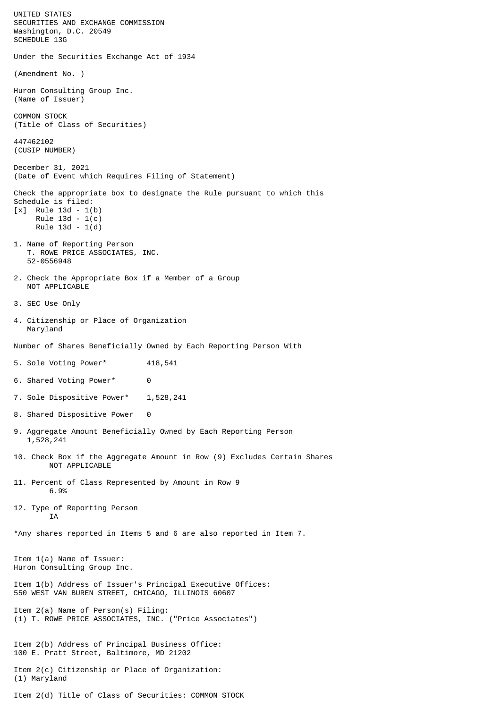UNITED STATES SECURITIES AND EXCHANGE COMMISSION Washington, D.C. 20549 SCHEDULE 13G Under the Securities Exchange Act of 1934 (Amendment No. ) Huron Consulting Group Inc. (Name of Issuer) COMMON STOCK (Title of Class of Securities) 447462102 (CUSIP NUMBER) December 31, 2021 (Date of Event which Requires Filing of Statement) Check the appropriate box to designate the Rule pursuant to which this Schedule is filed: [x] Rule 13d - 1(b) Rule 13d - 1(c) Rule 13d - 1(d) 1. Name of Reporting Person T. ROWE PRICE ASSOCIATES, INC. 52-0556948 2. Check the Appropriate Box if a Member of a Group NOT APPLICABLE 3. SEC Use Only 4. Citizenship or Place of Organization Maryland Number of Shares Beneficially Owned by Each Reporting Person With 5. Sole Voting Power\* 418,541 6. Shared Voting Power\* 0 7. Sole Dispositive Power\* 1,528,241 8. Shared Dispositive Power 0 9. Aggregate Amount Beneficially Owned by Each Reporting Person 1,528,241 10. Check Box if the Aggregate Amount in Row (9) Excludes Certain Shares NOT APPLICABLE 11. Percent of Class Represented by Amount in Row 9 6.9% 12. Type of Reporting Person **TA** \*Any shares reported in Items 5 and 6 are also reported in Item 7. Item 1(a) Name of Issuer: Huron Consulting Group Inc. Item 1(b) Address of Issuer's Principal Executive Offices: 550 WEST VAN BUREN STREET, CHICAGO, ILLINOIS 60607 Item 2(a) Name of Person(s) Filing: (1) T. ROWE PRICE ASSOCIATES, INC. ("Price Associates") Item 2(b) Address of Principal Business Office: 100 E. Pratt Street, Baltimore, MD 21202 Item 2(c) Citizenship or Place of Organization: (1) Maryland Item 2(d) Title of Class of Securities: COMMON STOCK